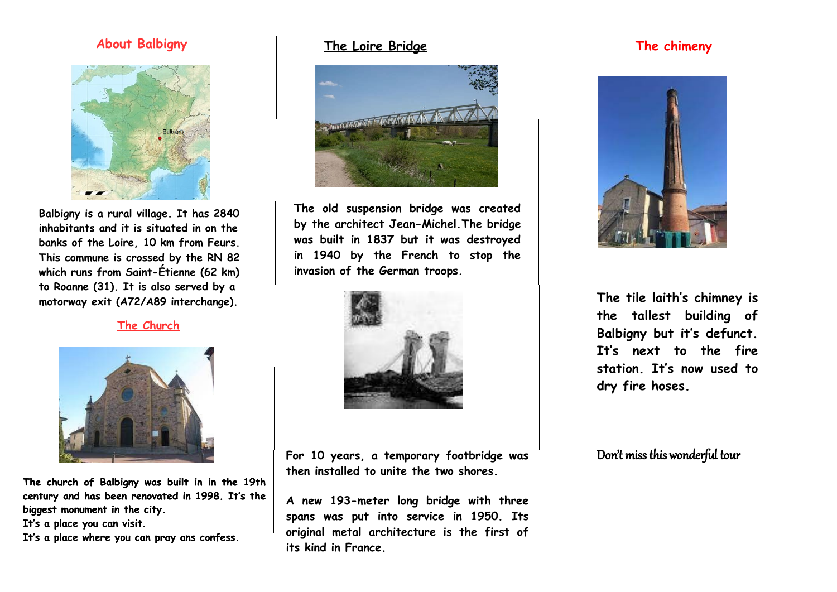**The church of Balbigny was built in in the 19th century and has been renovated in 1998. It's the biggest monument in the city.** 

**It's a place you can visit.**

**It's a place where you can pray ans confess.**

**The old suspension bridge was created by the architect Jean-Michel.The bridge was built in 1837 but it was destroyed in 1940 by the French to stop the invasion of the German troops.** 



### **The Loire Bridge**



#### **The Church**



**For 10 years, a temporary footbridge was then installed to unite the two shores.** 

**A new 193-meter long bridge with three spans was put into service in 1950. Its original metal architecture is the first of its kind in France.** 



**The tile laith's chimney is the tallest building of Balbigny but it's defunct. It's next to the fire station. It's now used to dry fire hoses.**

### **About Balbigny**



**Balbigny is a rural village. It has 2840 inhabitants and it is situated in on the banks of the Loire, 10 km from Feurs. This commune is crossed by the RN 82 which runs from Saint-Étienne (62 km) to Roanne (31). It is also served by a motorway exit (A72/A89 interchange).**

### **The chimeny**



Don't miss this wonderful tour